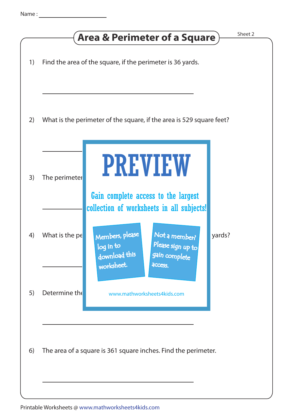